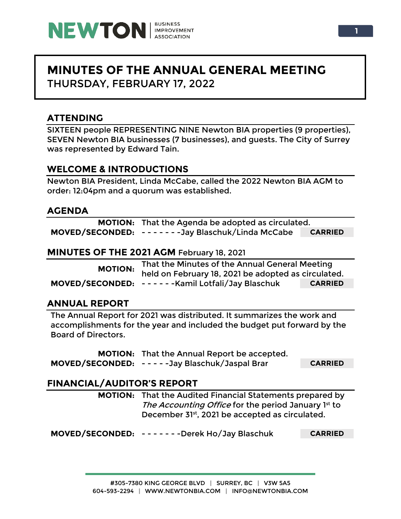

# **MINUTES OF THE ANNUAL GENERAL MEETING** THURSDAY, FEBRUARY 17, 2022

# **ATTENDING**

SIXTEEN people REPRESENTING NINE Newton BIA properties (9 properties), SEVEN Newton BIA businesses (7 businesses), and guests. The City of Surrey was represented by Edward Tain.

# **WELCOME & INTRODUCTIONS**

Newton BIA President, Linda McCabe, called the 2022 Newton BIA AGM to order: 12:04pm and a quorum was established.

### **AGENDA**

| <b>MOTION:</b> That the Agenda be adopted as circulated. |                |  |  |
|----------------------------------------------------------|----------------|--|--|
| MOVED/SECONDED: ------Jay Blaschuk/Linda McCabe          | <b>CARRIED</b> |  |  |

#### **MINUTES OF THE 2021 AGM** February 18, 2021

| <b>MOTION:</b> | That the Minutes of the Annual General Meeting      |                |  |
|----------------|-----------------------------------------------------|----------------|--|
|                | held on February 18, 2021 be adopted as circulated. |                |  |
|                | MOVED/SECONDED: ------Kamil Lotfali/Jay Blaschuk    | <b>CARRIED</b> |  |

# **ANNUAL REPORT**

The Annual Report for 2021 was distributed. It summarizes the work and accomplishments for the year and included the budget put forward by the Board of Directors.

**MOTION:** That the Annual Report be accepted. **MOVED/SECONDED:** - - - - -Jay Blaschuk/Jaspal Brar **CARRIED**

# **FINANCIAL/AUDITOR'S REPORT**

**MOTION:** That the Audited Financial Statements prepared by The Accounting Office for the period January 1st to December 31st, 2021 be accepted as circulated.

**MOVED/SECONDED:** - - - - - - -Derek Ho/Jay Blaschuk **CARRIED**